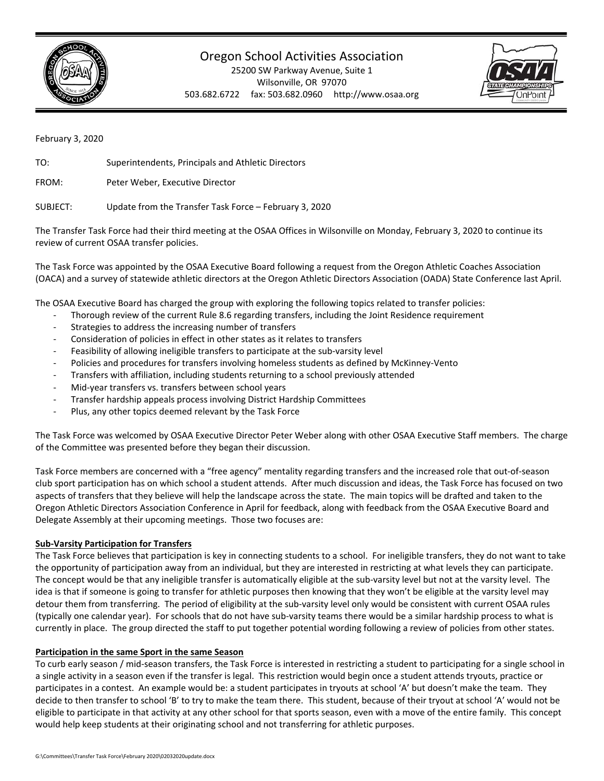

## Oregon School Activities Association

25200 SW Parkway Avenue, Suite 1 Wilsonville, OR 97070 503.682.6722 fax: 503.682.0960 http://www.osaa.org



February 3, 2020

TO: Superintendents, Principals and Athletic Directors

FROM: Peter Weber, Executive Director

SUBJECT: Update from the Transfer Task Force – February 3, 2020

The Transfer Task Force had their third meeting at the OSAA Offices in Wilsonville on Monday, February 3, 2020 to continue its review of current OSAA transfer policies.

The Task Force was appointed by the OSAA Executive Board following a request from the Oregon Athletic Coaches Association (OACA) and a survey of statewide athletic directors at the Oregon Athletic Directors Association (OADA) State Conference last April.

The OSAA Executive Board has charged the group with exploring the following topics related to transfer policies:

- Thorough review of the current Rule 8.6 regarding transfers, including the Joint Residence requirement
- Strategies to address the increasing number of transfers
- ‐ Consideration of policies in effect in other states as it relates to transfers
- Feasibility of allowing ineligible transfers to participate at the sub-varsity level
- ‐ Policies and procedures for transfers involving homeless students as defined by McKinney‐Vento
- ‐ Transfers with affiliation, including students returning to a school previously attended
- Mid-year transfers vs. transfers between school years
- ‐ Transfer hardship appeals process involving District Hardship Committees
- ‐ Plus, any other topics deemed relevant by the Task Force

The Task Force was welcomed by OSAA Executive Director Peter Weber along with other OSAA Executive Staff members. The charge of the Committee was presented before they began their discussion.

Task Force members are concerned with a "free agency" mentality regarding transfers and the increased role that out‐of‐season club sport participation has on which school a student attends. After much discussion and ideas, the Task Force has focused on two aspects of transfers that they believe will help the landscape across the state. The main topics will be drafted and taken to the Oregon Athletic Directors Association Conference in April for feedback, along with feedback from the OSAA Executive Board and Delegate Assembly at their upcoming meetings. Those two focuses are:

## **Sub‐Varsity Participation for Transfers**

The Task Force believes that participation is key in connecting students to a school. For ineligible transfers, they do not want to take the opportunity of participation away from an individual, but they are interested in restricting at what levels they can participate. The concept would be that any ineligible transfer is automatically eligible at the sub-varsity level but not at the varsity level. The idea is that if someone is going to transfer for athletic purposes then knowing that they won't be eligible at the varsity level may detour them from transferring. The period of eligibility at the sub-varsity level only would be consistent with current OSAA rules (typically one calendar year). For schools that do not have sub‐varsity teams there would be a similar hardship process to what is currently in place. The group directed the staff to put together potential wording following a review of policies from other states.

## **Participation in the same Sport in the same Season**

To curb early season / mid‐season transfers, the Task Force is interested in restricting a student to participating for a single school in a single activity in a season even if the transfer is legal. This restriction would begin once a student attends tryouts, practice or participates in a contest. An example would be: a student participates in tryouts at school 'A' but doesn't make the team. They decide to then transfer to school 'B' to try to make the team there. This student, because of their tryout at school 'A' would not be eligible to participate in that activity at any other school for that sports season, even with a move of the entire family. This concept would help keep students at their originating school and not transferring for athletic purposes.